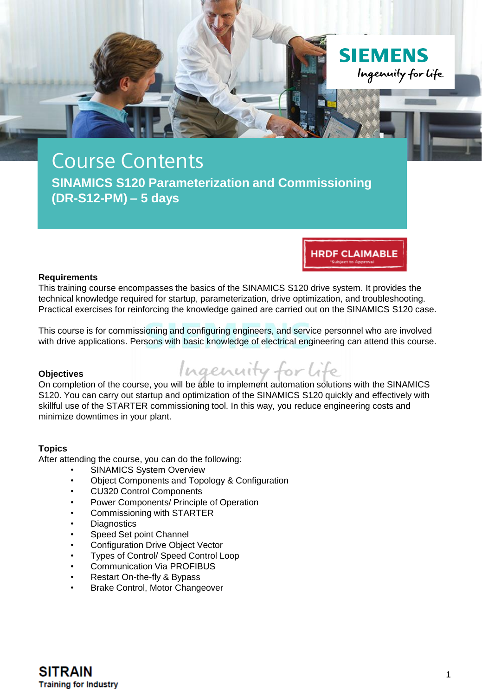

# **HRDF CLAIMABLE**

#### **Requirements**

This training course encompasses the basics of the SINAMICS S120 drive system. It provides the technical knowledge required for startup, parameterization, drive optimization, and troubleshooting. Practical exercises for reinforcing the knowledge gained are carried out on the SINAMICS S120 case.

This course is for commissioning and configuring engineers, and service personnel who are involved with drive applications. Persons with basic knowledge of electrical engineering can attend this course.

#### **Objectives**



On completion of the course, you will be able to implement automation solutions with the SINAMICS S120. You can carry out startup and optimization of the SINAMICS S120 quickly and effectively with skillful use of the STARTER commissioning tool. In this way, you reduce engineering costs and minimize downtimes in your plant.

### **Topics**

After attending the course, you can do the following:

- SINAMICS System Overview
- Object Components and Topology & Configuration
- CU320 Control Components
- Power Components/ Principle of Operation
- Commissioning with STARTER
- **Diagnostics**
- Speed Set point Channel
- Configuration Drive Object Vector
- Types of Control/ Speed Control Loop
- Communication Via PROFIBUS
- Restart On-the-fly & Bypass
- Brake Control, Motor Changeover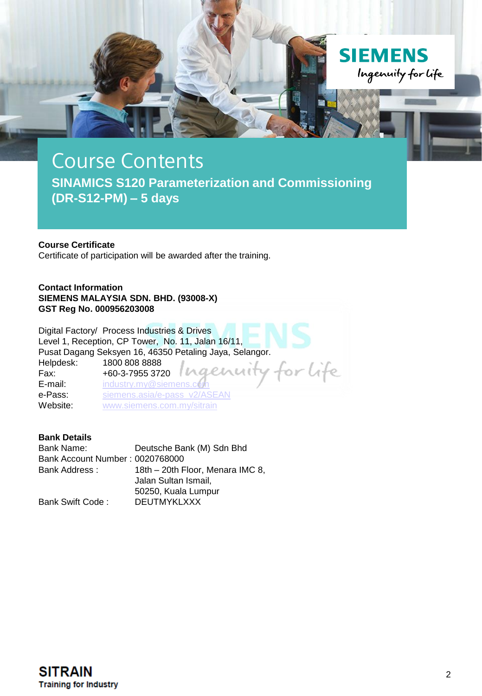

## **Course Certificate**

Certificate of participation will be awarded after the training.

**Contact Information SIEMENS MALAYSIA SDN. BHD. (93008-X) GST Reg No. 000956203008**

Digital Factory/ Process Industries & Drives Level 1, Reception, CP Tower, No. 11, Jalan 16/11, Pusat Dagang Seksyen 16, 46350 Petaling Jaya, Selangor. Helpdesk: 1800 808 8888<br>Fax: +60-3-7955 372 for life Fax: +60-3-7955 3720 **E-mail:** industry.my@siemer<br> **e-Pass:** siemens.asia/e-pass [siemens.asia/e-pass\\_v2/ASEAN](https://siemens.asia/e-pass_v2/ASEAN) Website: [www.siemens.com.my/sitrain](http://www.siemens.com.my/sitrain)

## **Bank Details**

Bank Name: Deutsche Bank (M) Sdn Bhd Bank Account Number : 0020768000 18th – 20th Floor, Menara IMC 8, Jalan Sultan Ismail, 50250, Kuala Lumpur Bank Swift Code : DEUTMYKLXXX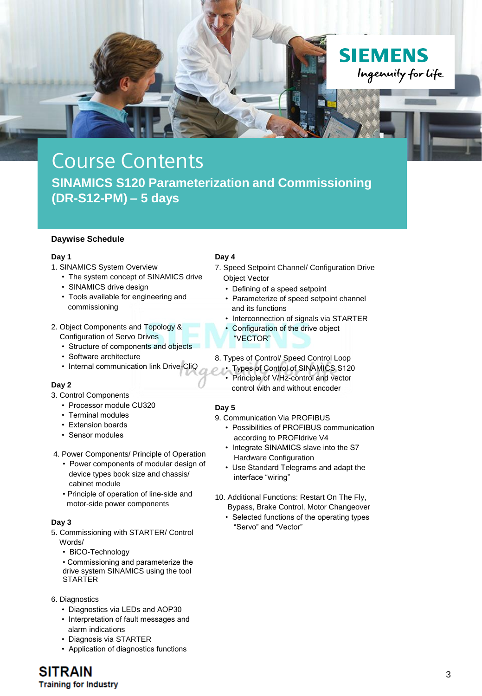

#### **Daywise Schedule**

#### **Day 1**

- 1. SINAMICS System Overview
	- The system concept of SINAMICS drive
	- SINAMICS drive design
	- Tools available for engineering and commissioning
- 2. Object Components and Topology & Configuration of Servo Drives
	- Structure of components and objects
	- Software architecture
	- Internal communication link Drive-CliQ

### **Day 2**

- 3. Control Components
	- Processor module CU320
	- Terminal modules
	- Extension boards
	- Sensor modules
- 4. Power Components/ Principle of Operation
	- Power components of modular design of device types book size and chassis/ cabinet module
	- Principle of operation of line-side and motor-side power components

### **Day 3**

- 5. Commissioning with STARTER/ Control Words/
	- BiCO-Technology
	- Commissioning and parameterize the drive system SINAMICS using the tool STARTER
- 6. Diagnostics
	- Diagnostics via LEDs and AOP30
	- Interpretation of fault messages and alarm indications
	- Diagnosis via STARTER
	- Application of diagnostics functions

### **Day 4**

- 7. Speed Setpoint Channel/ Configuration Drive Object Vector
	- Defining of a speed setpoint
	- Parameterize of speed setpoint channel and its functions
	- Interconnection of signals via STARTER
	- Configuration of the drive object "VECTOR"
- 8. Types of Control/ Speed Control Loop
	- Types of Control of SINAMICS S120
	- Principle of V/Hz-control and vector control with and without encoder

### **Day 5**

- 9. Communication Via PROFIBUS
	- Possibilities of PROFIBUS communication according to PROFIdrive V4
	- Integrate SINAMICS slave into the S7 Hardware Configuration
	- Use Standard Telegrams and adapt the interface "wiring"
- 10. Additional Functions: Restart On The Fly,
	- Bypass, Brake Control, Motor Changeover • Selected functions of the operating types "Servo" and "Vector"